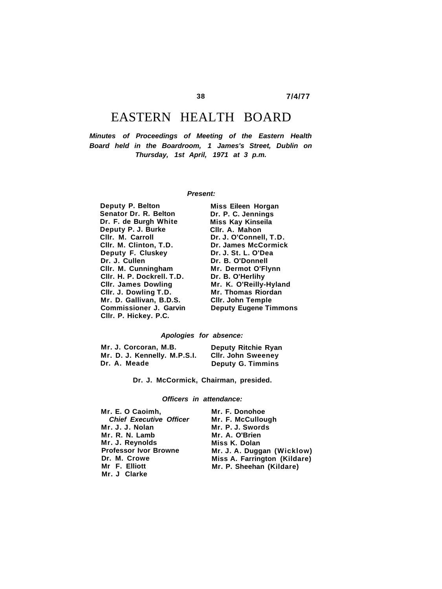# EASTERN HEALTH BOARD

**Minutes of Proceedings of Meeting of the Eastern Health Board held in the Boardroom, 1 James's Street, Dublin on Thursday, 1st April, 1971 at 3 p.m.** 

## **Present:**

| Deputy P. Belton              | Miss Eileen Horgan           |
|-------------------------------|------------------------------|
| Senator Dr. R. Belton         | Dr. P. C. Jennings           |
| Dr. F. de Burgh White         | Miss Kay Kinseila            |
| Deputy P. J. Burke            | Cllr. A. Mahon               |
| Cilr. M. Carroll              | Dr. J. O'Connell, T.D.       |
| Cilr. M. Clinton, T.D.        | <b>Dr. James McCormick</b>   |
| Deputy F. Cluskey             | Dr. J. St. L. O'Dea          |
| Dr. J. Cullen                 | Dr. B. O'Donnell             |
| CIIr. M. Cunningham           | Mr. Dermot O'Flynn           |
| CIIr. H. P. Dockrell. T.D.    | Dr. B. O'Herlihy             |
| <b>CIIr. James Dowling</b>    | Mr. K. O'Reilly-Hyland       |
| Cllr. J. Dowling T.D.         | <b>Mr. Thomas Riordan</b>    |
| Mr. D. Gallivan, B.D.S.       | <b>CIIr. John Temple</b>     |
| <b>Commissioner J. Garvin</b> | <b>Deputy Eugene Timmons</b> |
| CIIr. P. Hickey. P.C.         |                              |
|                               |                              |

## **Apologies for absence:**

| Mr. J. Corcoran, M.B.        | <b>Deputy Ritchie Ryan</b> |
|------------------------------|----------------------------|
| Mr. D. J. Kennelly. M.P.S.I. | <b>CIIr. John Sweeney</b>  |
| Dr. A. Meade                 | <b>Deputy G. Timmins</b>   |

**Dr. J. McCormick, Chairman, presided.**

**Officers in attendance:** 

| Mr. E. O Caoimh,               | Mr. F. Donohoe               |
|--------------------------------|------------------------------|
| <b>Chief Executive Officer</b> | Mr. F. McCullough            |
| Mr. J. J. Nolan                | Mr. P. J. Swords             |
| Mr. R. N. Lamb                 | Mr. A. O'Brien               |
| Mr. J. Reynolds                | Miss K. Dolan                |
| <b>Professor Ivor Browne</b>   | Mr. J. A. Duggan (Wicklow)   |
| Dr. M. Crowe                   | Miss A. Farrington (Kildare) |
| Mr F. Elliott                  | Mr. P. Sheehan (Kildare)     |
| Mr. J Clarke                   |                              |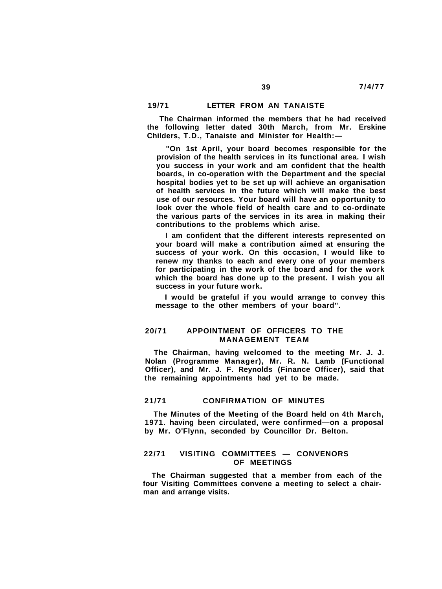**The Chairman informed the members that he had received the following letter dated 30th March, from Mr. Erskine Childers, T.D., Tanaiste and Minister for Health:—**

**"On 1st April, your board becomes responsible for the provision of the health services in its functional area. I wish you success in your work and am confident that the health boards, in co-operation with the Department and the special hospital bodies yet to be set up will achieve an organisation of health services in the future which will make the best use of our resources. Your board will have an opportunity to look over the whole field of health care and to co-ordinate the various parts of the services in its area in making their contributions to the problems which arise.**

**I am confident that the different interests represented on your board will make a contribution aimed at ensuring the success of your work. On this occasion, I would like to renew my thanks to each and every one of your members for participating in the work of the board and for the work which the board has done up to the present. I wish you all success in your future work.**

**I would be grateful if you would arrange to convey this message to the other members of your board".**

## **20/71 APPOINTMENT OF OFFICERS TO THE MANAGEMENT TEAM**

**The Chairman, having welcomed to the meeting Mr. J. J. Nolan (Programme Manager), Mr. R. N. Lamb (Functional Officer), and Mr. J. F. Reynolds (Finance Officer), said that the remaining appointments had yet to be made.**

## **21/71 CONFIRMATION OF MINUTES**

**The Minutes of the Meeting of the Board held on 4th March, 1971. having been circulated, were confirmed—on a proposal by Mr. O'Flynn, seconded by Councillor Dr. Belton.**

## **22/71 VISITING COMMITTEES — CONVENORS OF MEETINGS**

**The Chairman suggested that a member from each of the four Visiting Committees convene a meeting to select a chairman and arrange visits.**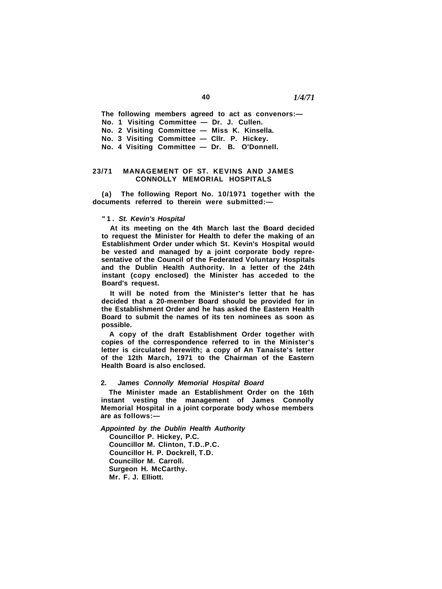**The following members agreed to act as convenors:— No. 1 Visiting Committee — Dr. J. Cullen. No. 2 Visiting Committee — Miss K. Kinsella. No. 3 Visiting Committee — Cllr. P. Hickey. No. 4 Visiting Committee — Dr. B. O'Donnell.**

## **23/71 MANAGEMENT OF ST. KEVINS AND JAMES CONNOLLY MEMORIAL HOSPITALS**

**(a) The following Report No. 10/1971 together with the documents referred to therein were submitted:—**

#### **"1. St. Kevin's Hospital**

**At its meeting on the 4th March last the Board decided to request the Minister for Health to defer the making of an Establishment Order under which St. Kevin's Hospital would be vested and managed by a joint corporate body representative of the Council of the Federated Voluntary Hospitals and the Dublin Health Authority. In a letter of the 24th instant (copy enclosed) the Minister has acceded to the Board's request.**

**It will be noted from the Minister's letter that he has decided that a 20-member Board should be provided for in the Establishment Order and he has asked the Eastern Health Board to submit the names of its ten nominees as soon as possible.**

**A copy of the draft Establishment Order together with copies of the correspondence referred to in the Minister's letter is circulated herewith; a copy of An Tanaiste's letter of the 12th March, 1971 to the Chairman of the Eastern Health Board is also enclosed.**

#### **2. James Connolly Memorial Hospital Board**

**The Minister made an Establishment Order on the 16th instant vesting the management of James Connolly Memorial Hospital in a joint corporate body whose members are as follows:—**

**Appointed by the Dublin Health Authority Councillor P. Hickey, P.C. Councillor M. Clinton, T.D..P.C. Councillor H. P. Dockrell, T.D. Councillor M. Carroll. Surgeon H. McCarthy. Mr. F. J. Elliott.**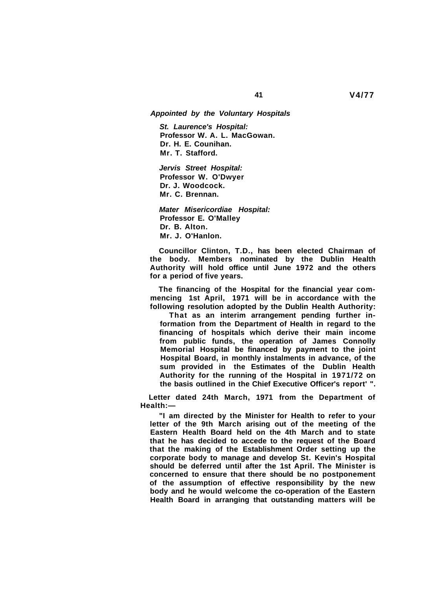**Appointed by the Voluntary Hospitals** 

**St. Laurence's Hospital: Professor W. A. L. MacGowan. Dr. H. E. Counihan. Mr. T. Stafford.**

**Jervis Street Hospital: Professor W. O'Dwyer Dr. J. Woodcock. Mr. C. Brennan.**

**Mater Misericordiae Hospital: Professor E. O'Malley Dr. B. Alton. Mr. J. O'Hanlon.**

**Councillor Clinton, T.D., has been elected Chairman of the body. Members nominated by the Dublin Health Authority will hold office until June 1972 and the others for a period of five years.**

**The financing of the Hospital for the financial year commencing 1st April, 1971 will be in accordance with the following resolution adopted by the Dublin Health Authority:**

**That as an interim arrangement pending further information from the Department of Health in regard to the financing of hospitals which derive their main income from public funds, the operation of James Connolly Memorial Hospital be financed by payment to the joint Hospital Board, in monthly instalments in advance, of the sum provided in the Estimates of the Dublin Health Authority for the running of the Hospital in 1971/72 on the basis outlined in the Chief Executive Officer's report' ".**

**Letter dated 24th March, 1971 from the Department of Health:—**

**"I am directed by the Minister for Health to refer to your letter of the 9th March arising out of the meeting of the Eastern Health Board held on the 4th March and to state that he has decided to accede to the request of the Board that the making of the Establishment Order setting up the corporate body to manage and develop St. Kevin's Hospital should be deferred until after the 1st April. The Minister is concerned to ensure that there should be no postponement of the assumption of effective responsibility by the new body and he would welcome the co-operation of the Eastern Health Board in arranging that outstanding matters will be**

**41 V4/77**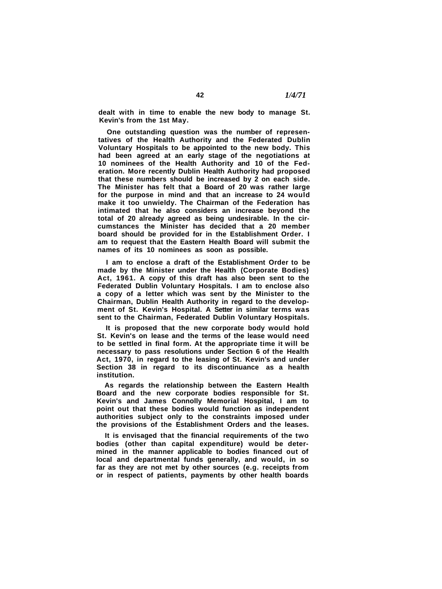**dealt with in time to enable the new body to manage St. Kevin's from the 1st May.**

**One outstanding question was the number of representatives of the Health Authority and the Federated Dublin Voluntary Hospitals to be appointed to the new body. This had been agreed at an early stage of the negotiations at 10 nominees of the Health Authority and 10 of the Federation. More recently Dublin Health Authority had proposed that these numbers should be increased by 2 on each side. The Minister has felt that a Board of 20 was rather large for the purpose in mind and that an increase to 24 would make it too unwieldy. The Chairman of the Federation has intimated that he also considers an increase beyond the total of 20 already agreed as being undesirable. In the circumstances the Minister has decided that a 20 member board should be provided for in the Establishment Order. I am to request that the Eastern Health Board will submit the names of its 10 nominees as soon as possible.**

**I am to enclose a draft of the Establishment Order to be made by the Minister under the Health (Corporate Bodies) Act, 1961. A copy of this draft has also been sent to the Federated Dublin Voluntary Hospitals. I am to enclose also a copy of a letter which was sent by the Minister to the Chairman, Dublin Health Authority in regard to the development of St. Kevin's Hospital. A Setter in similar terms was sent to the Chairman, Federated Dublin Voluntary Hospitals.**

**It is proposed that the new corporate body would hold St. Kevin's on lease and the terms of the lease would need to be settled in final form. At the appropriate time it will be necessary to pass resolutions under Section 6 of the Health Act, 1970, in regard to the leasing of St. Kevin's and under Section 38 in regard to its discontinuance as a health institution.**

**As regards the relationship between the Eastern Health Board and the new corporate bodies responsible for St. Kevin's and James Connolly Memorial Hospital, I am to point out that these bodies would function as independent authorities subject only to the constraints imposed under the provisions of the Establishment Orders and the leases.**

**It is envisaged that the financial requirements of the two bodies (other than capital expenditure) would be determined in the manner applicable to bodies financed out of local and departmental funds generally, and would, in so far as they are not met by other sources (e.g. receipts from or in respect of patients, payments by other health boards**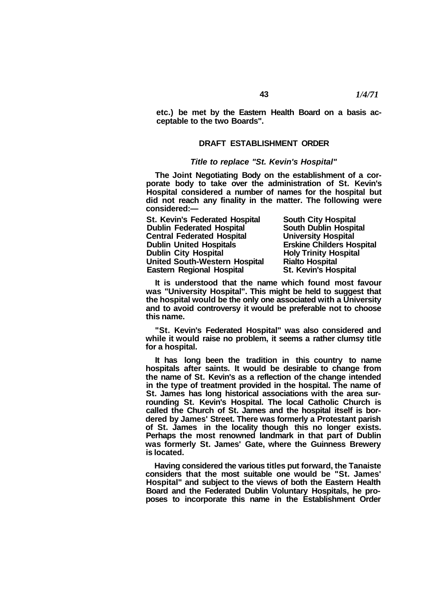**etc.) be met by the Eastern Health Board on a basis acceptable to the two Boards".**

## **DRAFT ESTABLISHMENT ORDER**

## **Title to replace "St. Kevin's Hospital"**

**The Joint Negotiating Body on the establishment of a corporate body to take over the administration of St. Kevin's Hospital considered a number of names for the hospital but did not reach any finality in the matter. The following were considered:—**

| <b>St. Kevin's Federated Hospital</b> |
|---------------------------------------|
| <b>Dublin Federated Hospital</b>      |
| <b>Central Federated Hospital</b>     |
| <b>Dublin United Hospitals</b>        |
| <b>Dublin City Hospital</b>           |
| <b>United South-Western Hospital</b>  |
| <b>Eastern Regional Hospital</b>      |

**South City Hospital South Dublin Hospital University Hospital Erskine Childers Hospital Holy Trinity Hospital Rialto Hospital St. Kevin's Hospital** 

**It is understood that the name which found most favour was "University Hospital". This might be held to suggest that the hospital would be the only one associated with a University and to avoid controversy it would be preferable not to choose this name.**

**"St. Kevin's Federated Hospital" was also considered and while it would raise no problem, it seems a rather clumsy title for a hospital.**

**It has long been the tradition in this country to name hospitals after saints. It would be desirable to change from the name of St. Kevin's as a reflection of the change intended in the type of treatment provided in the hospital. The name of St. James has long historical associations with the area surrounding St. Kevin's Hospital. The local Catholic Church is called the Church of St. James and the hospital itself is bordered by James' Street. There was formerly a Protestant parish of St. James in the locality though this no longer exists. Perhaps the most renowned landmark in that part of Dublin was formerly St. James' Gate, where the Guinness Brewery is located.**

**Having considered the various titles put forward, the Tanaiste considers that the most suitable one would be "St. James' Hospital" and subject to the views of both the Eastern Health Board and the Federated Dublin Voluntary Hospitals, he proposes to incorporate this name in the Establishment Order**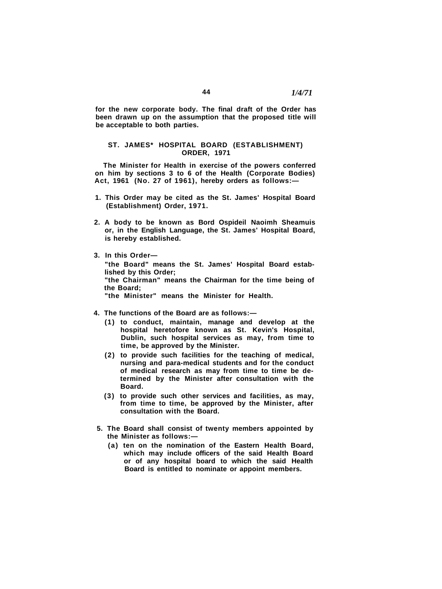**for the new corporate body. The final draft of the Order has been drawn up on the assumption that the proposed title will be acceptable to both parties.**

#### **ST. JAMES\* HOSPITAL BOARD (ESTABLISHMENT) ORDER, 1971**

**The Minister for Health in exercise of the powers conferred on him by sections 3 to 6 of the Health (Corporate Bodies) Act, 1961 (No. 27 of 1961), hereby orders as follows:—**

- **1. This Order may be cited as the St. James' Hospital Board (Establishment) Order, 1971.**
- **2. A body to be known as Bord Ospideil Naoimh Sheamuis or, in the English Language, the St. James' Hospital Board, is hereby established.**
- **3. In this Order— "the Board" means the St. James' Hospital Board established by this Order; "the Chairman" means the Chairman for the time being of the Board; "the Minister" means the Minister for Health.**
- **4. The functions of the Board are as follows:—**
	- **(1) to conduct, maintain, manage and develop at the hospital heretofore known as St. Kevin's Hospital, Dublin, such hospital services as may, from time to time, be approved by the Minister.**
	- **(2) to provide such facilities for the teaching of medical, nursing and para-medical students and for the conduct of medical research as may from time to time be determined by the Minister after consultation with the Board.**
	- **(3) to provide such other services and facilities, as may, from time to time, be approved by the Minister, after consultation with the Board.**
- **5. The Board shall consist of twenty members appointed by the Minister as follows:—**
	- **(a) ten on the nomination of the Eastern Health Board, which may include officers of the said Health Board or of any hospital board to which the said Health Board is entitled to nominate or appoint members.**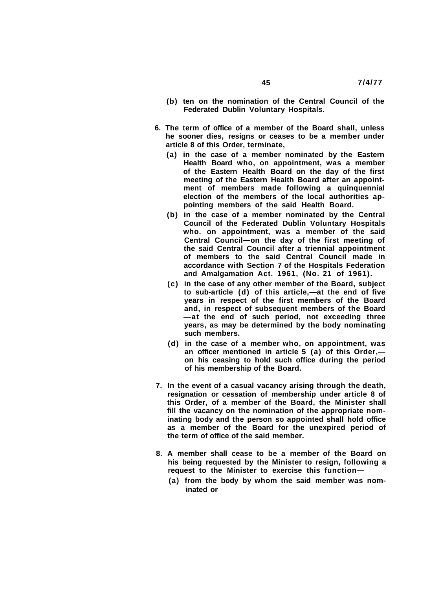- **6. The term of office of a member of the Board shall, unless he sooner dies, resigns or ceases to be a member under article 8 of this Order, terminate,**
	- **(a) in the case of a member nominated by the Eastern Health Board who, on appointment, was a member of the Eastern Health Board on the day of the first meeting of the Eastern Health Board after an appointment of members made following a quinquennial election of the members of the local authorities appointing members of the said Health Board.**
	- **(b) in the case of a member nominated by the Central Council of the Federated Dublin Voluntary Hospitals who. on appointment, was a member of the said Central Council—on the day of the first meeting of the said Central Council after a triennial appointment of members to the said Central Council made in accordance with Section 7 of the Hospitals Federation and Amalgamation Act. 1961, (No. 21 of 1961).**
	- **(c) in the case of any other member of the Board, subject to sub-article (d) of this article,—at the end of five years in respect of the first members of the Board and, in respect of subsequent members of the Board —at the end of such period, not exceeding three years, as may be determined by the body nominating such members.**
	- **(d) in the case of a member who, on appointment, was an officer mentioned in article 5 (a) of this Order, on his ceasing to hold such office during the period of his membership of the Board.**
- **7. In the event of a casual vacancy arising through the death, resignation or cessation of membership under article 8 of this Order, of a member of the Board, the Minister shall fill the vacancy on the nomination of the appropriate nominating body and the person so appointed shall hold office as a member of the Board for the unexpired period of the term of office of the said member.**
- **8. A member shall cease to be a member of the Board on his being requested by the Minister to resign, following a request to the Minister to exercise this function—**
	- **(a) from the body by whom the said member was nominated or**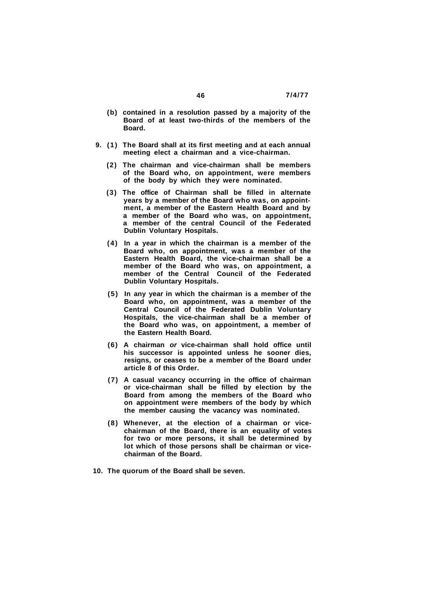- **(b) contained in a resolution passed by a majority of the Board of at least two-thirds of the members of the Board.**
- **9. (1) The Board shall at its first meeting and at each annual meeting elect a chairman and a vice-chairman.**
	- **(2) The chairman and vice-chairman shall be members of the Board who, on appointment, were members of the body by which they were nominated.**
	- **(3) The office of Chairman shall be filled in alternate years by a member of the Board who was, on appointment, a member of the Eastern Health Board and by a member of the Board who was, on appointment, a member of the central Council of the Federated Dublin Voluntary Hospitals.**
	- **(4) In a year in which the chairman is a member of the Board who, on appointment, was a member of the Eastern Health Board, the vice-chairman shall be a member of the Board who was, on appointment, a member of the Central Council of the Federated Dublin Voluntary Hospitals.**
	- **(5) In any year in which the chairman is a member of the Board who, on appointment, was a member of the Central Council of the Federated Dublin Voluntary Hospitals, the vice-chairman shall be a member of the Board who was, on appointment, a member of the Eastern Health Board.**
	- **(6) A chairman or vice-chairman shall hold office until his successor is appointed unless he sooner dies, resigns, or ceases to be a member of the Board under article 8 of this Order.**
	- **(7) A casual vacancy occurring in the office of chairman or vice-chairman shall be filled by election by the Board from among the members of the Board who on appointment were members of the body by which the member causing the vacancy was nominated.**
	- **(8) Whenever, at the election of a chairman or vicechairman of the Board, there is an equality of votes for two or more persons, it shall be determined by lot which of those persons shall be chairman or vicechairman of the Board.**
- **10. The quorum of the Board shall be seven.**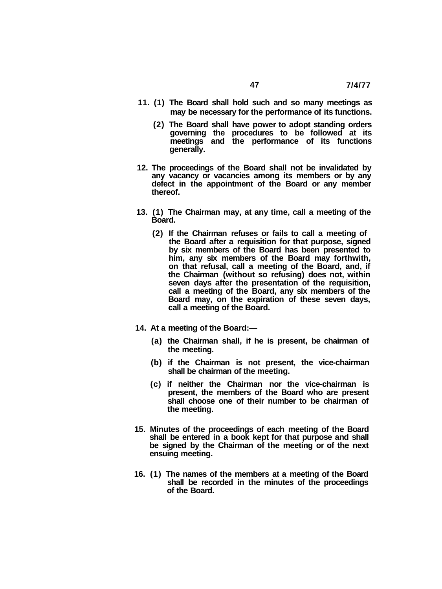- **11. (1) The Board shall hold such and so many meetings as may be necessary for the performance of its functions.**
	- **(2) The Board shall have power to adopt standing orders governing the procedures to be followed at its meetings and the performance of its functions generally.**
- **12. The proceedings of the Board shall not be invalidated by any vacancy or vacancies among its members or by any defect in the appointment of the Board or any member thereof.**
- **13. (1) The Chairman may, at any time, call a meeting of the Board.**
	- **(2) If the Chairman refuses or fails to call a meeting of the Board after a requisition for that purpose, signed by six members of the Board has been presented to him, any six members of the Board may forthwith, on that refusal, call a meeting of the Board, and, if the Chairman (without so refusing) does not, within seven days after the presentation of the requisition, call a meeting of the Board, any six members of the Board may, on the expiration of these seven days, call a meeting of the Board.**
- **14. At a meeting of the Board:—**
	- **(a) the Chairman shall, if he is present, be chairman of the meeting.**
	- **(b) if the Chairman is not present, the vice-chairman shall be chairman of the meeting.**
	- **(c) if neither the Chairman nor the vice-chairman is present, the members of the Board who are present shall choose one of their number to be chairman of the meeting.**
- **15. Minutes of the proceedings of each meeting of the Board shall be entered in a book kept for that purpose and shall be signed by the Chairman of the meeting or of the next ensuing meeting.**
- **16. (1) The names of the members at a meeting of the Board shall be recorded in the minutes of the proceedings of the Board.**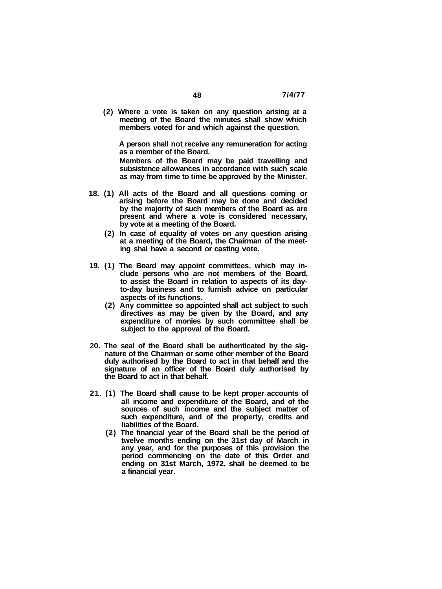**(2) Where a vote is taken on any question arising at a meeting of the Board the minutes shall show which members voted for and which against the question.**

**A person shall not receive any remuneration for acting as a member of the Board.**

**Members of the Board may be paid travelling and subsistence allowances in accordance with such scale as may from time to time be approved by the Minister.**

- **18. (1) All acts of the Board and all questions coming or arising before the Board may be done and decided by the majority of such members of the Board as are present and where a vote is considered necessary, by vote at a meeting of the Board.**
	- **(2) In case of equality of votes on any question arising at a meeting of the Board, the Chairman of the meeting shal have a second or casting vote.**
- **19. (1) The Board may appoint committees, which may include persons who are not members of the Board, to assist the Board in relation to aspects of its dayto-day business and to furnish advice on particular aspects of its functions.**
	- **(2) Any committee so appointed shall act subject to such directives as may be given by the Board, and any expenditure of monies by such committee shall be subject to the approval of the Board.**
- **20. The seal of the Board shall be authenticated by the signature of the Chairman or some other member of the Board duly authorised by the Board to act in that behalf and the signature of an officer of the Board duly authorised by the Board to act in that behalf.**
- **21. (1) The Board shall cause to be kept proper accounts of all income and expenditure of the Board, and of the sources of such income and the subject matter of such expenditure, and of the property, credits and liabilities of the Board.**
	- **(2) The financial year of the Board shall be the period of twelve months ending on the 31st day of March in any year, and for the purposes of this provision the period commencing on the date of this Order and ending on 31st March, 1972, shall be deemed to be a financial year.**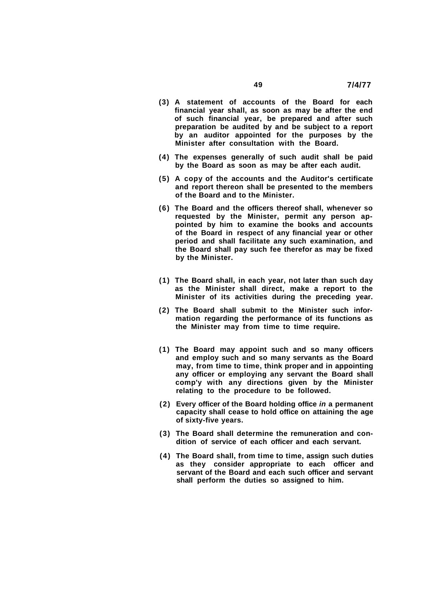- **(3) A statement of accounts of the Board for each financial year shall, as soon as may be after the end of such financial year, be prepared and after such preparation be audited by and be subject to a report by an auditor appointed for the purposes by the Minister after consultation with the Board.**
- **(4) The expenses generally of such audit shall be paid by the Board as soon as may be after each audit.**
- **(5) A copy of the accounts and the Auditor's certificate and report thereon shall be presented to the members of the Board and to the Minister.**
- **(6) The Board and the officers thereof shall, whenever so requested by the Minister, permit any person appointed by him to examine the books and accounts of the Board in respect of any financial year or other period and shall facilitate any such examination, and the Board shall pay such fee therefor as may be fixed by the Minister.**
- **(1) The Board shall, in each year, not later than such day as the Minister shall direct, make a report to the Minister of its activities during the preceding year.**
- **(2) The Board shall submit to the Minister such information regarding the performance of its functions as the Minister may from time to time require.**
- **(1) The Board may appoint such and so many officers and employ such and so many servants as the Board may, from time to time, think proper and in appointing any officer or employing any servant the Board shall comp'y with any directions given by the Minister relating to the procedure to be followed.**
- **(2) Every officer of the Board holding office in a permanent capacity shall cease to hold office on attaining the age of sixty-five years.**
- **(3) The Board shall determine the remuneration and condition of service of each officer and each servant.**
- **(4) The Board shall, from time to time, assign such duties as they consider appropriate to each officer and servant of the Board and each such officer and servant shall perform the duties so assigned to him.**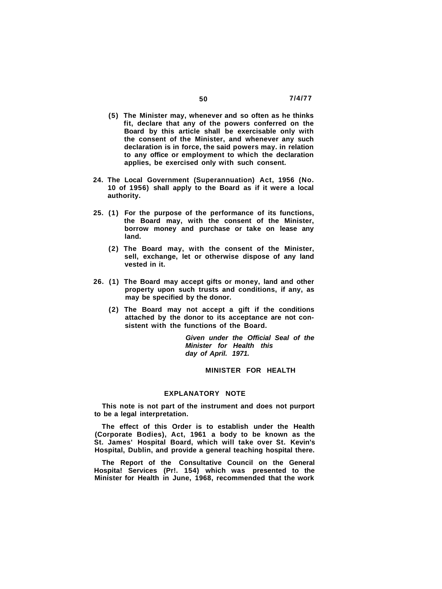- **(5) The Minister may, whenever and so often as he thinks fit, declare that any of the powers conferred on the Board by this article shall be exercisable only with the consent of the Minister, and whenever any such declaration is in force, the said powers may. in relation to any office or employment to which the declaration applies, be exercised only with such consent.**
- **24. The Local Government (Superannuation) Act, 1956 (No. 10 of 1956) shall apply to the Board as if it were a local authority.**
- **25. (1) For the purpose of the performance of its functions, the Board may, with the consent of the Minister, borrow money and purchase or take on lease any land.**
	- **(2) The Board may, with the consent of the Minister, sell, exchange, let or otherwise dispose of any land vested in it.**
- **26. (1) The Board may accept gifts or money, land and other property upon such trusts and conditions, if any, as may be specified by the donor.**
	- **(2) The Board may not accept a gift if the conditions attached by the donor to its acceptance are not consistent with the functions of the Board.**

**Given under the Official Seal of the Minister for Health this day of April. 1971.** 

#### **MINISTER FOR HEALTH**

#### **EXPLANATORY NOTE**

**This note is not part of the instrument and does not purport to be a legal interpretation.**

**The effect of this Order is to establish under the Health (Corporate Bodies), Act, 1961 a body to be known as the St. James' Hospital Board, which will take over St. Kevin's Hospital, Dublin, and provide a general teaching hospital there.**

**The Report of the Consultative Council on the General Hospita! Services (Pr!. 154) which was presented to the Minister for Health in June, 1968, recommended that the work**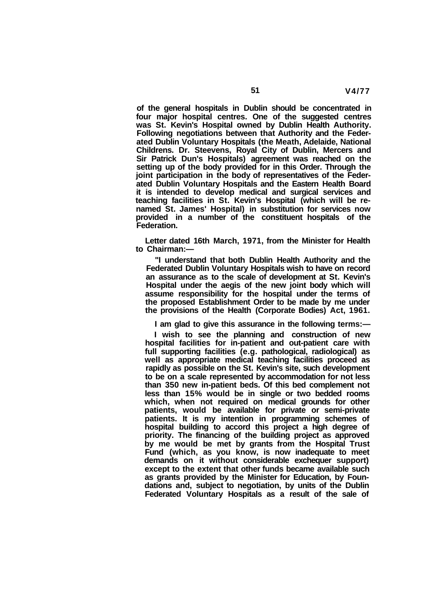**of the general hospitals in Dublin should be concentrated in four major hospital centres. One of the suggested centres was St. Kevin's Hospital owned by Dublin Health Authority. Following negotiations between that Authority and the Federated Dublin Voluntary Hospitals (the Meath, Adelaide, National Childrens. Dr. Steevens, Royal City of Dublin, Mercers and Sir Patrick Dun's Hospitals) agreement was reached on the setting up of the body provided for in this Order. Through the joint participation in the body of representatives of the Federated Dublin Voluntary Hospitals and the Eastern Health Board it is intended to develop medical and surgical services and teaching facilities in St. Kevin's Hospital (which will be renamed St. James' Hospital) in substitution for services now provided in a number of the constituent hospitals of the Federation.**

**Letter dated 16th March, 1971, from the Minister for Health to Chairman:—**

**"I understand that both Dublin Health Authority and the Federated Dublin Voluntary Hospitals wish to have on record an assurance as to the scale of development at St. Kevin's Hospital under the aegis of the new joint body which will assume responsibility for the hospital under the terms of the proposed Establishment Order to be made by me under the provisions of the Health (Corporate Bodies) Act, 1961.**

**I am glad to give this assurance in the following terms:—**

**I wish to see the planning and construction of new hospital facilities for in-patient and out-patient care with full supporting facilities (e.g. pathological, radiological) as well as appropriate medical teaching facilities proceed as rapidly as possible on the St. Kevin's site, such development to be on a scale represented by accommodation for not less than 350 new in-patient beds. Of this bed complement not less than 15% would be in single or two bedded rooms which, when not required on medical grounds for other patients, would be available for private or semi-private patients. It is my intention in programming schemes of hospital building to accord this project a high degree of priority. The financing of the building project as approved by me would be met by grants from the Hospital Trust Fund (which, as you know, is now inadequate to meet demands on it without considerable exchequer support) except to the extent that other funds became available such as grants provided by the Minister for Education, by Foundations and, subject to negotiation, by units of the Dublin Federated Voluntary Hospitals as a result of the sale of**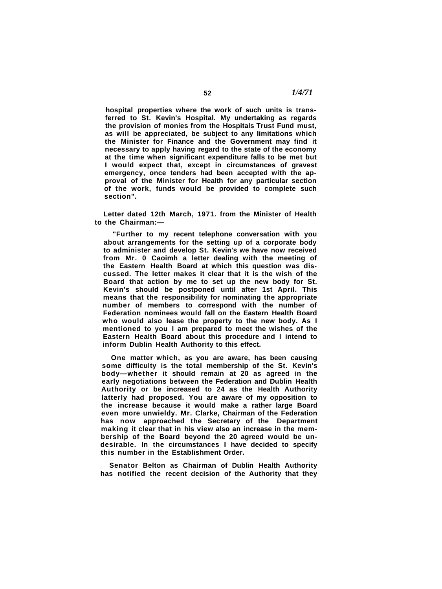**52** *1/4/71*

**hospital properties where the work of such units is transferred to St. Kevin's Hospital. My undertaking as regards the provision of monies from the Hospitals Trust Fund must, as will be appreciated, be subject to any limitations which the Minister for Finance and the Government may find it necessary to apply having regard to the state of the economy at the time when significant expenditure falls to be met but I would expect that, except in circumstances of gravest emergency, once tenders had been accepted with the approval of the Minister for Health for any particular section of the work, funds would be provided to complete such section".**

**Letter dated 12th March, 1971. from the Minister of Health to the Chairman:—**

**"Further to my recent telephone conversation with you about arrangements for the setting up of a corporate body to administer and develop St. Kevin's we have now received from Mr. 0 Caoimh a letter dealing with the meeting of the Eastern Health Board at which this question was discussed. The letter makes it clear that it is the wish of the Board that action by me to set up the new body for St. Kevin's should be postponed until after 1st April. This means that the responsibility for nominating the appropriate number of members to correspond with the number of Federation nominees would fall on the Eastern Health Board who would also lease the property to the new body. As I mentioned to you I am prepared to meet the wishes of the Eastern Health Board about this procedure and I intend to inform Dublin Health Authority to this effect.**

**One matter which, as you are aware, has been causing some difficulty is the total membership of the St. Kevin's body—whether it should remain at 20 as agreed in the early negotiations between the Federation and Dublin Health Authority or be increased to 24 as the Health Authority latterly had proposed. You are aware of my opposition to the increase because it would make a rather large Board even more unwieldy. Mr. Clarke, Chairman of the Federation has now approached the Secretary of the Department making it clear that in his view also an increase in the membership of the Board beyond the 20 agreed would be undesirable. In the circumstances I have decided to specify this number in the Establishment Order.**

**Senator Belton as Chairman of Dublin Health Authority has notified the recent decision of the Authority that they**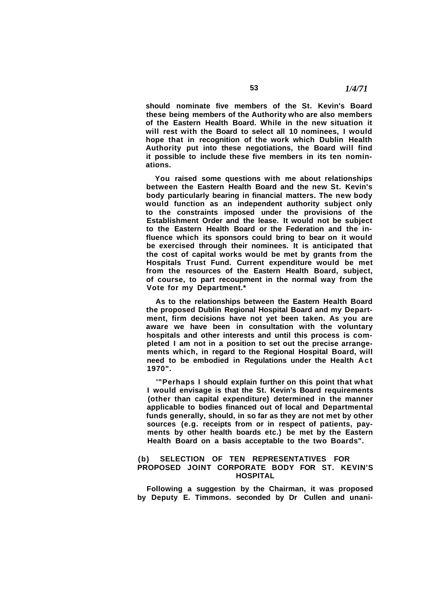**should nominate five members of the St. Kevin's Board these being members of the Authority who are also members of the Eastern Health Board. While in the new situation it will rest with the Board to select all 10 nominees, I would hope that in recognition of the work which Dublin Health Authority put into these negotiations, the Board will find it possible to include these five members in its ten nominations.**

**You raised some questions with me about relationships between the Eastern Health Board and the new St. Kevin's body particularly bearing in financial matters. The new body would function as an independent authority subject only to the constraints imposed under the provisions of the Establishment Order and the lease. It would not be subject to the Eastern Health Board or the Federation and the influence which its sponsors could bring to bear on it would be exercised through their nominees. It is anticipated that the cost of capital works would be met by grants from the Hospitals Trust Fund. Current expenditure would be met from the resources of the Eastern Health Board, subject, of course, to part recoupment in the normal way from the Vote for my Department.\***

**As to the relationships between the Eastern Health Board the proposed Dublin Regional Hospital Board and my Department, firm decisions have not yet been taken. As you are aware we have been in consultation with the voluntary hospitals and other interests and until this process is completed I am not in a position to set out the precise arrangements which, in regard to the Regional Hospital Board, will** need to be embodied in Regulations under the Health Act **1970".**

**'"Perhaps I should explain further on this point that what I would envisage is that the St. Kevin's Board requirements (other than capital expenditure) determined in the manner applicable to bodies financed out of local and Departmental funds generally, should, in so far as they are not met by other sources (e.g. receipts from or in respect of patients, payments by other health boards etc.) be met by the Eastern Health Board on a basis acceptable to the two Boards".**

## **(b) SELECTION OF TEN REPRESENTATIVES FOR PROPOSED JOINT CORPORATE BODY FOR ST. KEVIN'S HOSPITAL**

**Following a suggestion by the Chairman, it was proposed by Deputy E. Timmons. seconded by Dr Cullen and unani-**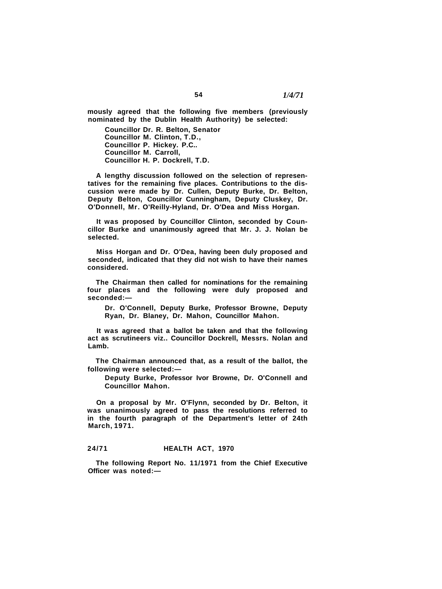**mously agreed that the following five members (previously nominated by the Dublin Health Authority) be selected:**

**Councillor Dr. R. Belton, Senator Councillor M. Clinton, T.D., Councillor P. Hickey. P.C.. Councillor M. Carroll, Councillor H. P. Dockrell, T.D.**

**A lengthy discussion followed on the selection of representatives for the remaining five places. Contributions to the discussion were made by Dr. Cullen, Deputy Burke, Dr. Belton, Deputy Belton, Councillor Cunningham, Deputy Cluskey, Dr. O'Donnell, Mr. O'Reilly-Hyland, Dr. O'Dea and Miss Horgan.**

**It was proposed by Councillor Clinton, seconded by Councillor Burke and unanimously agreed that Mr. J. J. Nolan be selected.**

**Miss Horgan and Dr. O'Dea, having been duly proposed and seconded, indicated that they did not wish to have their names considered.**

**The Chairman then called for nominations for the remaining four places and the following were duly proposed and seconded:—**

**Dr. O'Connell, Deputy Burke, Professor Browne, Deputy Ryan, Dr. Blaney, Dr. Mahon, Councillor Mahon.**

**It was agreed that a ballot be taken and that the following act as scrutineers viz.. Councillor Dockrell, Messrs. Nolan and Lamb.**

**The Chairman announced that, as a result of the ballot, the following were selected:—**

**Deputy Burke, Professor Ivor Browne, Dr. O'Connell and Councillor Mahon.**

**On a proposal by Mr. O'Flynn, seconded by Dr. Belton, it was unanimously agreed to pass the resolutions referred to in the fourth paragraph of the Department's letter of 24th March, 1971.**

## **24/71 HEALTH ACT, 1970**

**The following Report No. 11/1971 from the Chief Executive Officer was noted:—**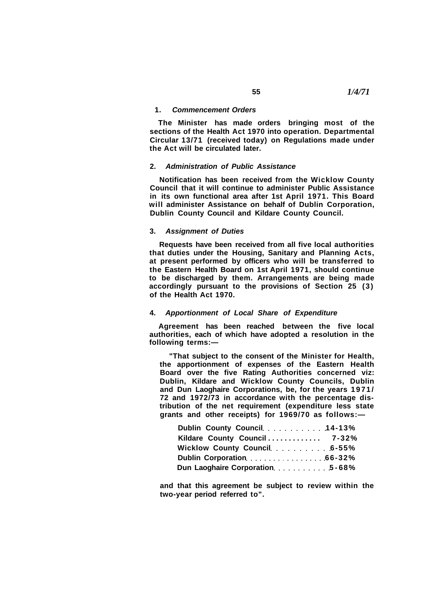**The Minister has made orders bringing most of the sections of the Health Act 1970 into operation. Departmental Circular 13/71 (received today) on Regulations made under the Act will be circulated later.**

#### **2. Administration of Public Assistance**

**Notification has been received from the Wicklow County Council that it will continue to administer Public Assistance in its own functional area after 1st April 1971. This Board will administer Assistance on behalf of Dublin Corporation, Dublin County Council and Kildare County Council.**

#### **3. Assignment of Duties**

**Requests have been received from all five local authorities that duties under the Housing, Sanitary and Planning Acts, at present performed by officers who will be transferred to the Eastern Health Board on 1st April 1971, should continue to be discharged by them. Arrangements are being made accordingly pursuant to the provisions of Section 25 (3) of the Health Act 1970.**

## **4. Apportionment of Local Share of Expenditure**

**Agreement has been reached between the five local authorities, each of which have adopted a resolution in the following terms:—**

**"That subject to the consent of the Minister for Health, the apportionment of expenses of the Eastern Health Board over the five Rating Authorities concerned viz: Dublin, Kildare and Wicklow County Councils, Dublin and Dun Laoghaire Corporations, be, for the years 1971/ 72 and 1972/73 in accordance with the percentage distribution of the net requirement (expenditure less state grants and other receipts) for 1969/70 as follows:—**

| Kildare County Council  7-32%  |  |
|--------------------------------|--|
| Wicklow County Council. 6-55%  |  |
|                                |  |
| Dun Laoghaire Corporation5-68% |  |

**and that this agreement be subject to review within the two-year period referred to".**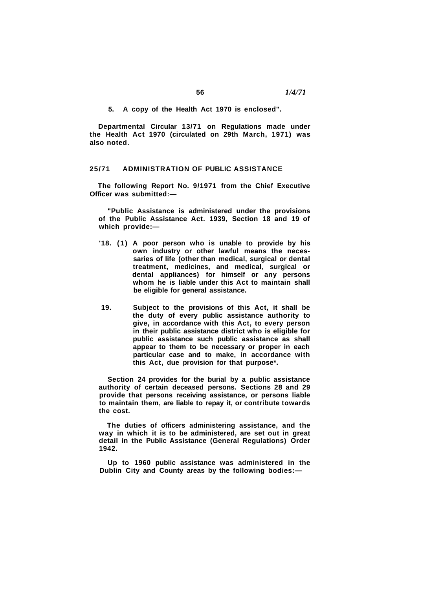#### **5. A copy of the Health Act 1970 is enclosed".**

**Departmental Circular 13/71 on Regulations made under the Health Act 1970 (circulated on 29th March, 1971) was also noted.**

## **25/71 ADMINISTRATION OF PUBLIC ASSISTANCE**

**The following Report No. 9/1971 from the Chief Executive Officer was submitted:—**

**"Public Assistance is administered under the provisions of the Public Assistance Act. 1939, Section 18 and 19 of which provide:—**

- **'18. (1) A poor person who is unable to provide by his own industry or other lawful means the necessaries of life (other than medical, surgical or dental treatment, medicines, and medical, surgical or dental appliances) for himself or any persons whom he is liable under this Act to maintain shall be eligible for general assistance.**
- **19. Subject to the provisions of this Act, it shall be the duty of every public assistance authority to give, in accordance with this Act, to every person in their public assistance district who is eligible for public assistance such public assistance as shall appear to them to be necessary or proper in each particular case and to make, in accordance with this Act, due provision for that purpose\*.**

**Section 24 provides for the burial by a public assistance authority of certain deceased persons. Sections 28 and 29 provide that persons receiving assistance, or persons liable to maintain them, are liable to repay it, or contribute towards the cost.**

**The duties of officers administering assistance, and the way in which it is to be administered, are set out in great detail in the Public Assistance (General Regulations) Order 1942.**

**Up to 1960 public assistance was administered in the Dublin City and County areas by the following bodies:—**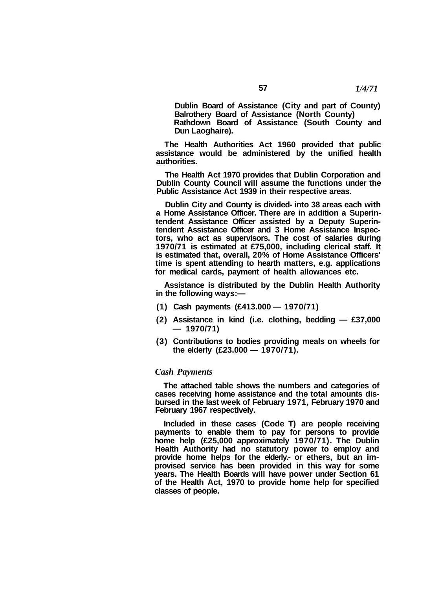**Dublin Board of Assistance (City and part of County) Balrothery Board of Assistance (North County) Rathdown Board of Assistance (South County and Dun Laoghaire).**

**The Health Authorities Act 1960 provided that public assistance would be administered by the unified health authorities.**

**The Health Act 1970 provides that Dublin Corporation and Dublin County Council will assume the functions under the Public Assistance Act 1939 in their respective areas.**

**Dublin City and County is divided- into 38 areas each with a Home Assistance Officer. There are in addition a Superintendent Assistance Officer assisted by a Deputy Superintendent Assistance Officer and 3 Home Assistance Inspectors, who act as supervisors. The cost of salaries during 1970/71 is estimated at £75,000, including clerical staff. It is estimated that, overall, 20% of Home Assistance Officers' time is spent attending to hearth matters, e.g. applications for medical cards, payment of health allowances etc.**

**Assistance is distributed by the Dublin Health Authority in the following ways:—**

- **(1) Cash payments (£413.000 1970/71)**
- **(2) Assistance in kind (i.e. clothing, bedding £37,000 — 1970/71)**
- **(3) Contributions to bodies providing meals on wheels for the elderly (£23.000 — 1970/71).**

## *Cash Payments*

**The attached table shows the numbers and categories of cases receiving home assistance and the total amounts disbursed in the last week of February 1971, February 1970 and February 1967 respectively.**

**Included in these cases (Code T) are people receiving payments to enable them to pay for persons to provide home help (£25,000 approximately 1970/71). The Dublin Health Authority had no statutory power to employ and provide home helps for the elderly.- or ethers, but an improvised service has been provided in this way for some years. The Health Boards will have power under Section 61 of the Health Act, 1970 to provide home help for specified classes of people.**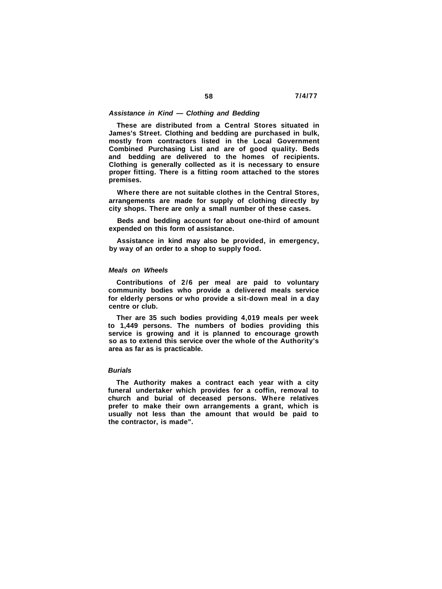#### **58 7/4/77**

#### **Assistance in Kind — Clothing and Bedding**

**These are distributed from a Central Stores situated in James's Street. Clothing and bedding are purchased in bulk, mostly from contractors listed in the Local Government Combined Purchasing List and are of good quality. Beds and bedding are delivered to the homes of recipients. Clothing is generally collected as it is necessary to ensure proper fitting. There is a fitting room attached to the stores premises.**

**Where there are not suitable clothes in the Central Stores, arrangements are made for supply of clothing directly by city shops. There are only a small number of these cases.**

**Beds and bedding account for about one-third of amount expended on this form of assistance.**

**Assistance in kind may also be provided, in emergency, by way of an order to a shop to supply food.**

#### **Meals on Wheels**

**Contributions of 2/6 per meal are paid to voluntary community bodies who provide a delivered meals service for elderly persons or who provide a sit-down meal in a day centre or club.**

**Ther are 35 such bodies providing 4,019 meals per week to 1,449 persons. The numbers of bodies providing this service is growing and it is planned to encourage growth so as to extend this service over the whole of the Authority's area as far as is practicable.**

#### **Burials**

**The Authority makes a contract each year with a city funeral undertaker which provides for a coffin, removal to church and burial of deceased persons. Where relatives prefer to make their own arrangements a grant, which is usually not less than the amount that would be paid to the contractor, is made".**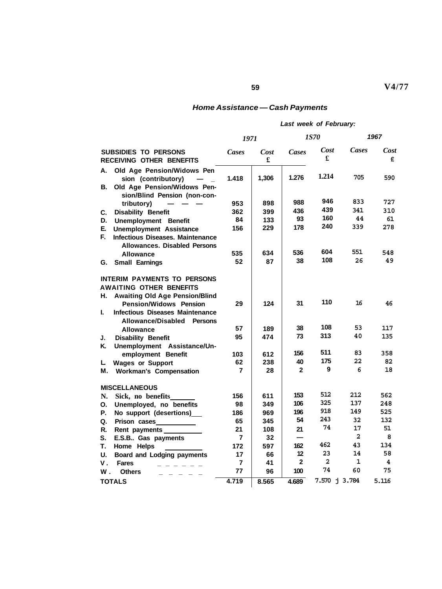## **Home Assistance — Cash Payments**

## **Last week of February:**

|                                                                | 1971                                                                             |                | <i><b>1S70</b></i> |                          | 1967           |                |           |
|----------------------------------------------------------------|----------------------------------------------------------------------------------|----------------|--------------------|--------------------------|----------------|----------------|-----------|
| <b>SUBSIDIES TO PERSONS</b><br><b>RECEIVING OTHER BENEFITS</b> |                                                                                  | Cases          | Cost<br>£          | Cases                    | Cost<br>£      | Cases          | Cost<br>£ |
| А.<br>В.                                                       | Old Age Pension/Widows Pen<br>sion (contributory)<br>Old Age Pension/Widows Pen- | 1.418          | 1,306              | 1.276                    | 1.214          | 705            | 590       |
|                                                                | sion/Blind Pension (non-con-                                                     |                |                    |                          |                |                |           |
|                                                                | tributory)                                                                       | 953            | 898                | 988                      | 946            | 833            | 727       |
| С.                                                             | <b>Disability Benefit</b>                                                        | 362            | 399                | 436                      | 439            | 341            | 310       |
| D.                                                             | <b>Unemployment Benefit</b>                                                      | 84             | 133                | 93                       | 160            | 44             | 61        |
| Е.                                                             | <b>Unemployment Assistance</b>                                                   | 156            | 229                | 178                      | 240            | 339            | 278       |
| F.                                                             | <b>Infectious Diseases. Maintenance</b>                                          |                |                    |                          |                |                |           |
|                                                                | <b>Allowances. Disabled Persons</b>                                              |                |                    |                          |                |                |           |
|                                                                | <b>Allowance</b>                                                                 | 535            | 634                | 536                      | 604            | 551            | 548       |
| G.                                                             | Small Earnings                                                                   | 52             | 87                 | 38                       | 108            | 26             | 49        |
|                                                                | <b>INTERIM PAYMENTS TO PERSONS</b>                                               |                |                    |                          |                |                |           |
|                                                                | <b>AWAITING OTHER BENEFITS</b>                                                   |                |                    |                          |                |                |           |
| Η.                                                             | <b>Awaiting Old Age Pension/Blind</b>                                            |                |                    |                          |                |                |           |
|                                                                | <b>Pension/Widows Pension</b>                                                    | 29             | 124                | 31                       | 110            | 16             | 46        |
| I.                                                             | <b>Infectious Diseases Maintenance</b>                                           |                |                    |                          |                |                |           |
|                                                                | Allowance/Disabled<br>Persons                                                    |                |                    |                          |                |                |           |
|                                                                | <b>Allowance</b>                                                                 | 57             | 189                | 38                       | 108            | 53             | 117       |
| J.                                                             | <b>Disability Benefit</b>                                                        | 95             | 474                | 73                       | 313            | 40             | 135       |
| K.                                                             | Unemployment Assistance/Un-                                                      |                |                    |                          |                |                |           |
|                                                                | employment Benefit                                                               | 103            | 612                | 156                      | 511            | 83             | 358       |
| L.                                                             | <b>Wages or Support</b>                                                          | 62             | 238                | 40                       | 175            | 22             | 82        |
| М.                                                             | <b>Workman's Compensation</b>                                                    | 7              | 28                 | $\mathbf{2}$             | 9              | 6              | 18        |
|                                                                | <b>MISCELLANEOUS</b>                                                             |                |                    |                          |                |                |           |
| N.                                                             | Sick, no benefits                                                                | 156            | 611                | 153                      | 512            | 212            | 562       |
| О.                                                             | Unemployed, no benefits                                                          | 98             | 349                | 106                      | 325            | 137            | 248       |
| Ρ.                                                             | No support (desertions)                                                          | 186            | 969                | 196                      | 918            | 149            | 525       |
| Q.                                                             | Prison cases___________                                                          | 65             | 345                | 54                       | 243            | 32             | 132       |
| R.                                                             | Rent payments ____                                                               | 21             | 108                | 21                       | 74             | 17             | 51        |
| S.                                                             | E.S.B Gas payments                                                               | $\overline{7}$ | 32                 | $\overline{\phantom{0}}$ |                | $\overline{a}$ | 8         |
| Т.                                                             | Home Helps                                                                       | 172            | 597                | 162                      | 462            | 43             | 134       |
| U.                                                             | Board and Lodging payments                                                       | 17             | 66                 | 12                       | 23             | 14             | 58        |
| ν.                                                             | <b>Fares</b>                                                                     | $\overline{7}$ | 41                 | $\overline{2}$           | $\overline{a}$ | $\mathbf{1}$   | 4         |
| w.                                                             | <b>Others</b>                                                                    | 77             | 96                 | 100                      | 74             | 60             | 75        |
|                                                                | <b>TOTALS</b>                                                                    | 4.719          | 8.565              | 4.689                    | 7.570 i 3.784  |                | 5.116     |

**V4/77**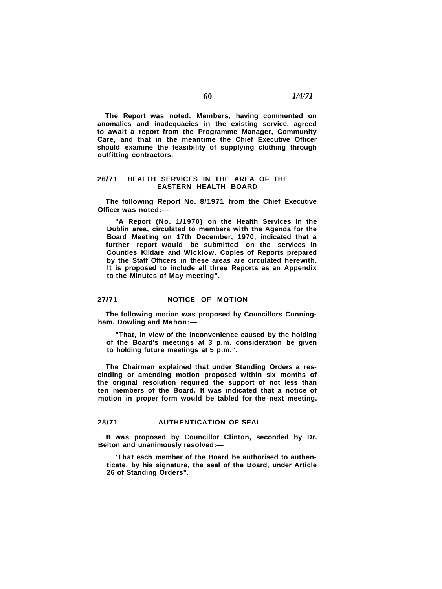**The Report was noted. Members, having commented on anomalies and inadequacies in the existing service, agreed to await a report from the Programme Manager, Community Care, and that in the meantime the Chief Executive Officer should examine the feasibility of supplying clothing through outfitting contractors.**

#### **26/71 HEALTH SERVICES IN THE AREA OF THE EASTERN HEALTH BOARD**

**The following Report No. 8/1971 from the Chief Executive Officer was noted:—**

**"A Report (No. 1/1970) on the Health Services in the Dublin area, circulated to members with the Agenda for the Board Meeting on 17th December, 1970, indicated that a further report would be submitted on the services in Counties Kildare and Wicklow. Copies of Reports prepared by the Staff Officers in these areas are circulated herewith. It is proposed to include all three Reports as an Appendix to the Minutes of May meeting".**

#### **27/71 NOTICE OF MOTION**

**The following motion was proposed by Councillors Cunningham. Dowling and Mahon:—**

**"That, in view of the inconvenience caused by the holding of the Board's meetings at 3 p.m. consideration be given to holding future meetings at 5 p.m.".**

**The Chairman explained that under Standing Orders a rescinding or amending motion proposed within six months of the original resolution required the support of not less than ten members of the Board. It was indicated that a notice of motion in proper form would be tabled for the next meeting.**

#### **28/71 AUTHENTICATION OF SEAL**

**It was proposed by Councillor Clinton, seconded by Dr. Belton and unanimously resolved:—**

**'That each member of the Board be authorised to authenticate, by his signature, the seal of the Board, under Article 26 of Standing Orders".**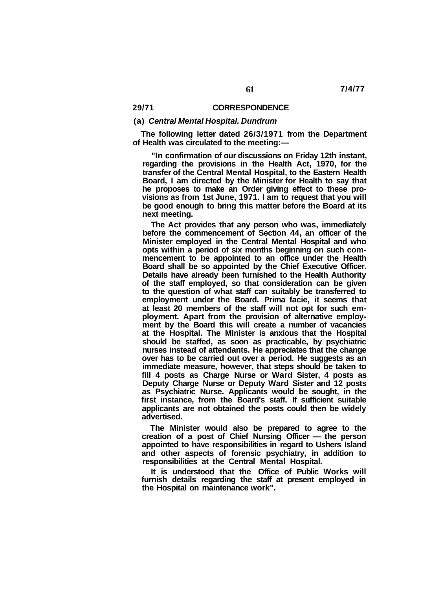## **29/71 CORRESPONDENCE**

## **(a) Central Mental Hospital. Dundrum**

**The following letter dated 26/3/1971 from the Department of Health was circulated to the meeting:—**

**"In confirmation of our discussions on Friday 12th instant, regarding the provisions in the Health Act, 1970, for the transfer of the Central Mental Hospital, to the Eastern Health Board, I am directed by the Minister for Health to say that he proposes to make an Order giving effect to these provisions as from 1st June, 1971. I am to request that you will be good enough to bring this matter before the Board at its next meeting.**

**The Act provides that any person who was, immediately before the commencement of Section 44, an officer of the Minister employed in the Central Mental Hospital and who opts within a period of six months beginning on such commencement to be appointed to an office under the Health Board shall be so appointed by the Chief Executive Officer. Details have already been furnished to the Health Authority of the staff employed, so that consideration can be given to the question of what staff can suitably be transferred to employment under the Board. Prima facie, it seems that at least 20 members of the staff will not opt for such employment. Apart from the provision of alternative employment by the Board this will create a number of vacancies at the Hospital. The Minister is anxious that the Hospital should be staffed, as soon as practicable, by psychiatric nurses instead of attendants. He appreciates that the change over has to be carried out over a period. He suggests as an immediate measure, however, that steps should be taken to fill 4 posts as Charge Nurse or Ward Sister, 4 posts as Deputy Charge Nurse or Deputy Ward Sister and 12 posts as Psychiatric Nurse. Applicants would be sought, in the first instance, from the Board's staff. If sufficient suitable applicants are not obtained the posts could then be widely advertised.**

**The Minister would also be prepared to agree to the creation of a post of Chief Nursing Officer — the person appointed to have responsibilities in regard to Ushers Island and other aspects of forensic psychiatry, in addition to responsibilities at the Central Mental Hospital.**

**It is understood that the Office of Public Works will furnish details regarding the staff at present employed in the Hospital on maintenance work".**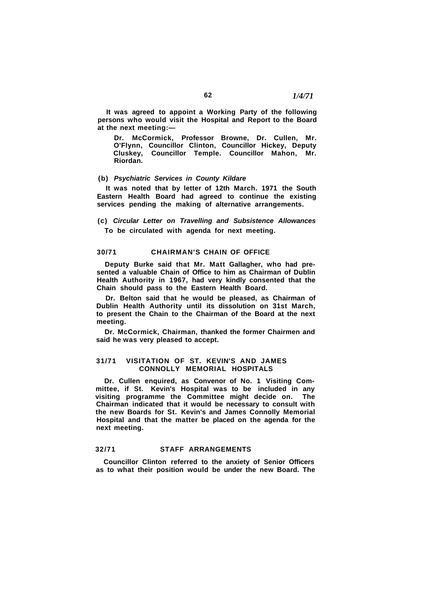**It was agreed to appoint a Working Party of the following persons who would visit the Hospital and Report to the Board at the next meeting:—**

**Dr. McCormick, Professor Browne, Dr. Cullen, Mr. O'Flynn, Councillor Clinton, Councillor Hickey, Deputy Cluskey, Councillor Temple. Councillor Mahon, Mr. Riordan.**

#### **(b) Psychiatric Services in County Kildare**

**It was noted that by letter of 12th March. 1971 the South Eastern Health Board had agreed to continue the existing services pending the making of alternative arrangements.**

**(c) Circular Letter on Travelling and Subsistence Allowances To be circulated with agenda for next meeting.**

#### **30/71 CHAIRMAN'S CHAIN OF OFFICE**

**Deputy Burke said that Mr. Matt Gallagher, who had presented a valuable Chain of Office to him as Chairman of Dublin Health Authority in 1967, had very kindly consented that the Chain should pass to the Eastern Health Board.**

**Dr. Belton said that he would be pleased, as Chairman of Dublin Health Authority until its dissolution on 31st March, to present the Chain to the Chairman of the Board at the next meeting.**

**Dr. McCormick, Chairman, thanked the former Chairmen and said he was very pleased to accept.**

#### **31/71 VISITATION OF ST. KEVIN'S AND JAMES CONNOLLY MEMORIAL HOSPITALS**

**Dr. Cullen enquired, as Convenor of No. 1 Visiting Committee, if St. Kevin's Hospital was to be included in any visiting programme the Committee might decide on. The Chairman indicated that it would be necessary to consult with the new Boards for St. Kevin's and James Connolly Memorial Hospital and that the matter be placed on the agenda for the next meeting.**

#### **32/71 STAFF ARRANGEMENTS**

**Councillor Clinton referred to the anxiety of Senior Officers as to what their position would be under the new Board. The**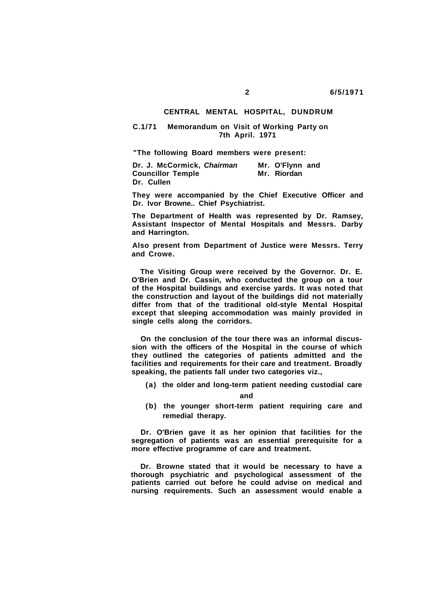## **CENTRAL MENTAL HOSPITAL, DUNDRUM**

## **C.1/71 Memorandum on Visit of Working Party on 7th April. 1971**

**"The following Board members were present:**

**Dr. J. McCormick, Chairman Mr. O'Flynn and Councillor Temple Dr. Cullen**

**They were accompanied by the Chief Executive Officer and Dr. Ivor Browne.. Chief Psychiatrist.**

**The Department of Health was represented by Dr. Ramsey, Assistant Inspector of Mental Hospitals and Messrs. Darby and Harrington.**

**Also present from Department of Justice were Messrs. Terry and Crowe.**

**The Visiting Group were received by the Governor. Dr. E. O'Brien and Dr. Cassin, who conducted the group on a tour of the Hospital buildings and exercise yards. It was noted that the construction and layout of the buildings did not materially differ from that of the traditional old-style Mental Hospital except that sleeping accommodation was mainly provided in single cells along the corridors.**

**On the conclusion of the tour there was an informal discussion with the officers of the Hospital in the course of which they outlined the categories of patients admitted and the facilities and requirements for their care and treatment. Broadly speaking, the patients fall under two categories viz.,**

**(a) the older and long-term patient needing custodial care**

**and**

**(b) the younger short-term patient requiring care and remedial therapy.**

**Dr. O'Brien gave it as her opinion that facilities for the segregation of patients was an essential prerequisite for a more effective programme of care and treatment.**

**Dr. Browne stated that it would be necessary to have a thorough psychiatric and psychological assessment of the patients carried out before he could advise on medical and nursing requirements. Such an assessment would enable a**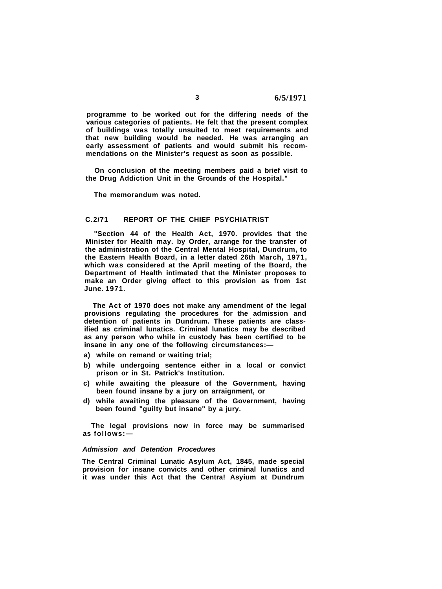**programme to be worked out for the differing needs of the various categories of patients. He felt that the present complex of buildings was totally unsuited to meet requirements and that new building would be needed. He was arranging an early assessment of patients and would submit his recommendations on the Minister's request as soon as possible.**

**On conclusion of the meeting members paid a brief visit to the Drug Addiction Unit in the Grounds of the Hospital."**

**The memorandum was noted.**

#### **C.2/71 REPORT OF THE CHIEF PSYCHIATRIST**

**"Section 44 of the Health Act, 1970. provides that the Minister for Health may. by Order, arrange for the transfer of the administration of the Central Mental Hospital, Dundrum, to the Eastern Health Board, in a letter dated 26th March, 1971, which was considered at the April meeting of the Board, the Department of Health intimated that the Minister proposes to make an Order giving effect to this provision as from 1st June. 1971.**

**The Act of 1970 does not make any amendment of the legal provisions regulating the procedures for the admission and detention of patients in Dundrum. These patients are classified as criminal lunatics. Criminal lunatics may be described as any person who while in custody has been certified to be insane in any one of the following circumstances:—**

- **a) while on remand or waiting trial;**
- **b) while undergoing sentence either in a local or convict prison or in St. Patrick's Institution.**
- **c) while awaiting the pleasure of the Government, having been found insane by a jury on arraignment, or**
- **d) while awaiting the pleasure of the Government, having been found "guilty but insane" by a jury.**

**The legal provisions now in force may be summarised as follows:—**

#### **Admission and Detention Procedures**

**The Central Criminal Lunatic Asylum Act, 1845, made special provision for insane convicts and other criminal lunatics and it was under this Act that the Centra! Asyium at Dundrum**